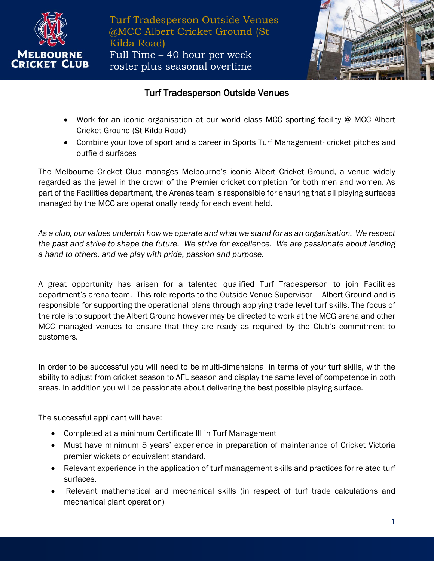

Turf Tradesperson Outside Venues @MCC Albert Cricket Ground (St Kilda Road) Full Time – 40 hour per week roster plus seasonal overtime



## Turf Tradesperson Outside Venues

- Work for an iconic organisation at our world class MCC sporting facility @ MCC Albert Cricket Ground (St Kilda Road)
- Combine your love of sport and a career in Sports Turf Management- cricket pitches and outfield surfaces

The Melbourne Cricket Club manages Melbourne's iconic Albert Cricket Ground, a venue widely regarded as the jewel in the crown of the Premier cricket completion for both men and women. As part of the Facilities department, the Arenas team is responsible for ensuring that all playing surfaces managed by the MCC are operationally ready for each event held.

*As a club, our values underpin how we operate and what we stand for as an organisation. We respect the past and strive to shape the future. We strive for excellence. We are passionate about lending a hand to others, and we play with pride, passion and purpose.*

A great opportunity has arisen for a talented qualified Turf Tradesperson to join Facilities department's arena team. This role reports to the Outside Venue Supervisor – Albert Ground and is responsible for supporting the operational plans through applying trade level turf skills. The focus of the role is to support the Albert Ground however may be directed to work at the MCG arena and other MCC managed venues to ensure that they are ready as required by the Club's commitment to customers.

In order to be successful you will need to be multi-dimensional in terms of your turf skills, with the ability to adjust from cricket season to AFL season and display the same level of competence in both areas. In addition you will be passionate about delivering the best possible playing surface.

The successful applicant will have:

- Completed at a minimum Certificate III in Turf Management
- Must have minimum 5 years' experience in preparation of maintenance of Cricket Victoria premier wickets or equivalent standard.
- Relevant experience in the application of turf management skills and practices for related turf surfaces.
- Relevant mathematical and mechanical skills (in respect of turf trade calculations and mechanical plant operation)